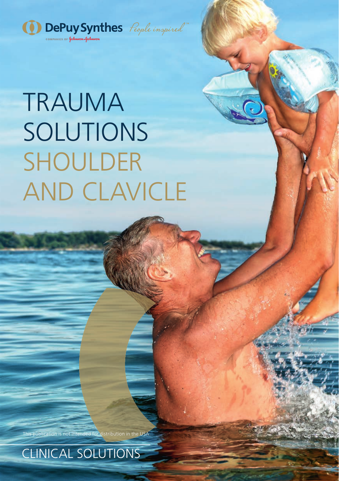

# TRAUMA SOLUTIONS SHOULDER AND CLAVICLE

s publication is not intended for distribution in the USA

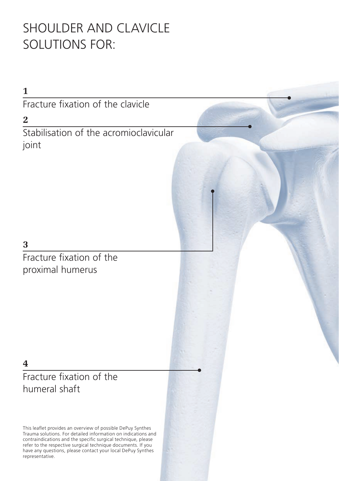## SHOULDER AND CLAVICLE SOLUTIONS FOR:

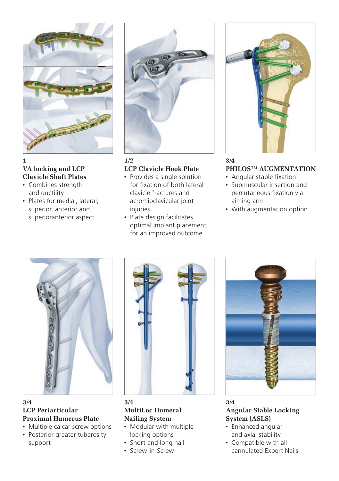

#### **1 VA locking and LCP Clavicle Shaft Plates**

- Combines strength and ductility
- Plates for medial, lateral, superior, anterior and superioranterior aspect



#### **1/2 LCP Clavicle Hook Plate**

- Provides a single solution for fixation of both lateral clavicle fractures and acromioclavicular joint injuries
- Plate design facilitates optimal implant placement for an improved outcome



#### **3/4 PHILOS™ AUGMENTATION**

- Angular stable fixation
- Submuscular insertion and percutaneous fixation via aiming arm
- With augmentation option



**3/4 LCP Periarticular Proximal Humerus Plate**

• Multiple calcar screw options • Posterior greater tuberosity support



**MultiLoc Humeral Nailing System** • Modular with multiple locking options • Short and long nail • Screw-in-Screw



### **3/4 Angular Stable Locking System (ASLS)**

- Enhanced angular and axial stability
- Compatible with all cannulated Expert Nails